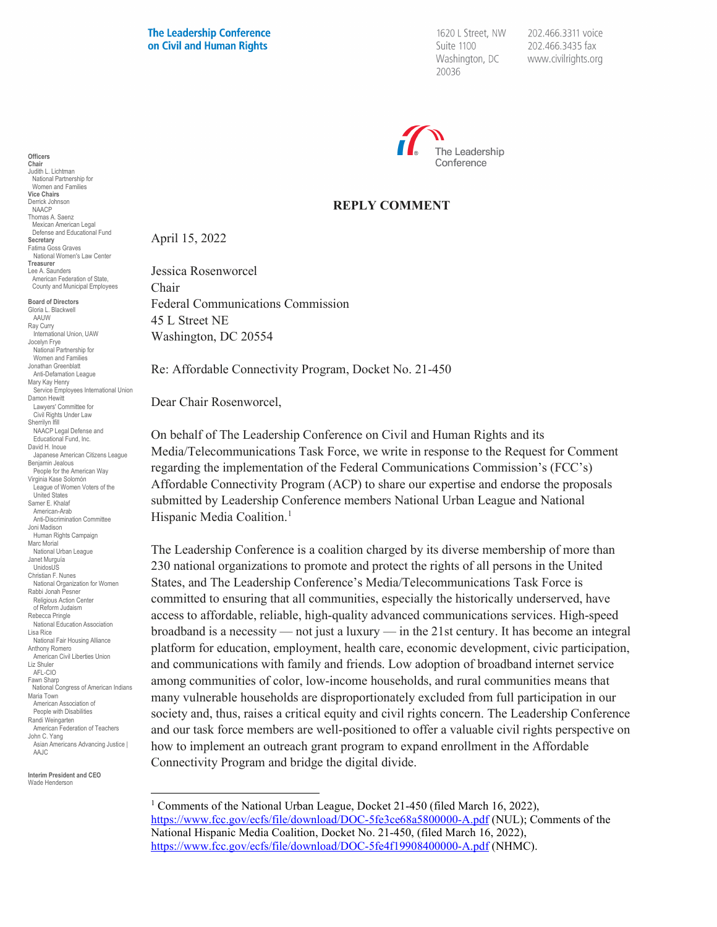**The Leadership Conference** on Civil and Human Rights

1620 L Street, NW Suite 1100 Washington, DC 20036

202.466.3311 voice 202.466.3435 fax www.civilrights.org



## **REPLY COMMENT**

April 15, 2022

Jessica Rosenworcel Chair Federal Communications Commission 45 L Street NE Washington, DC 20554

Re: Affordable Connectivity Program, Docket No. 21-450

Dear Chair Rosenworcel,

On behalf of The Leadership Conference on Civil and Human Rights and its Media/Telecommunications Task Force, we write in response to the Request for Comment regarding the implementation of the Federal Communications Commission's (FCC's) Affordable Connectivity Program (ACP) to share our expertise and endorse the proposals submitted by Leadership Conference members National Urban League and National Hispanic Media Coalition.<sup>[1](#page-0-0)</sup>

The Leadership Conference is a coalition charged by its diverse membership of more than 230 national organizations to promote and protect the rights of all persons in the United States, and The Leadership Conference's Media/Telecommunications Task Force is committed to ensuring that all communities, especially the historically underserved, have access to affordable, reliable, high-quality advanced communications services. High-speed broadband is a necessity — not just a luxury — in the 21st century. It has become an integral platform for education, employment, health care, economic development, civic participation, and communications with family and friends. Low adoption of broadband internet service among communities of color, low-income households, and rural communities means that many vulnerable households are disproportionately excluded from full participation in our society and, thus, raises a critical equity and civil rights concern. The Leadership Conference and our task force members are well-positioned to offer a valuable civil rights perspective on how to implement an outreach grant program to expand enrollment in the Affordable Connectivity Program and bridge the digital divide.

<sup>1</sup> Comments of the National Urban League, Docket 21-450 (filed March 16, 2022), <https://www.fcc.gov/ecfs/file/download/DOC-5fe3ce68a5800000-A.pdf> (NUL); Comments of the National Hispanic Media Coalition, Docket No. 21-450, (filed March 16, 2022), <https://www.fcc.gov/ecfs/file/download/DOC-5fe4f19908400000-A.pdf> (NHMC).

**Officers Chair** Judith L. Lichtman National Partnership for Women and Families **Vice Chairs** Derrick Johnson NAACP Thomas A. Saenz Mexican American Legal Defense and Educational Fund **Secretary** Fatima Goss Graves National Women's Law Center **Treasurer** Lee A. Saunders American Federation of State, County and Municipal Employees

**Board of Directors** Gloria L. Blackwell AAUW Ray Curry ay can y<br>International Union, UAW Jocelyn Frye National Partnership for Women and Families Jonathan Greenblatt Anti-Defamation League Mary Kay Henry Service Employees International Union Damon Hewitt Lawyers' Committee for Civil Rights Under Law Sherrilyn Ifill NAACP Legal Defense and Educational Fund, Inc. David H. Inoue Japanese American Citizens League Benjamin Jealous People for the American Way Virginia Kase Solomón League of Women Voters of the United States Samer E. Khalaf American-Arab Anti-Discrimination Committee Joni Madison Human Rights Campaign Marc Morial National Urban League Janet Murguía UnidosUS Christian F. Nunes National Organization for Women Rabbi Jonah Pesner Religious Action Center of Reform Judaism Rebecca Pringle National Education Association Lisa Rice National Fair Housing Alliance Anthony Romero American Civil Liberties Union Liz Shuler AFL-CIO Fawn Sharp National Congress of American Indians Maria Town American Association of People with Disabilities Randi Weingarten American Federation of Teachers John C. Yang Asian Americans Advancing Justice | AAJC

<span id="page-0-0"></span>**Interim President and CEO** Wade Henderson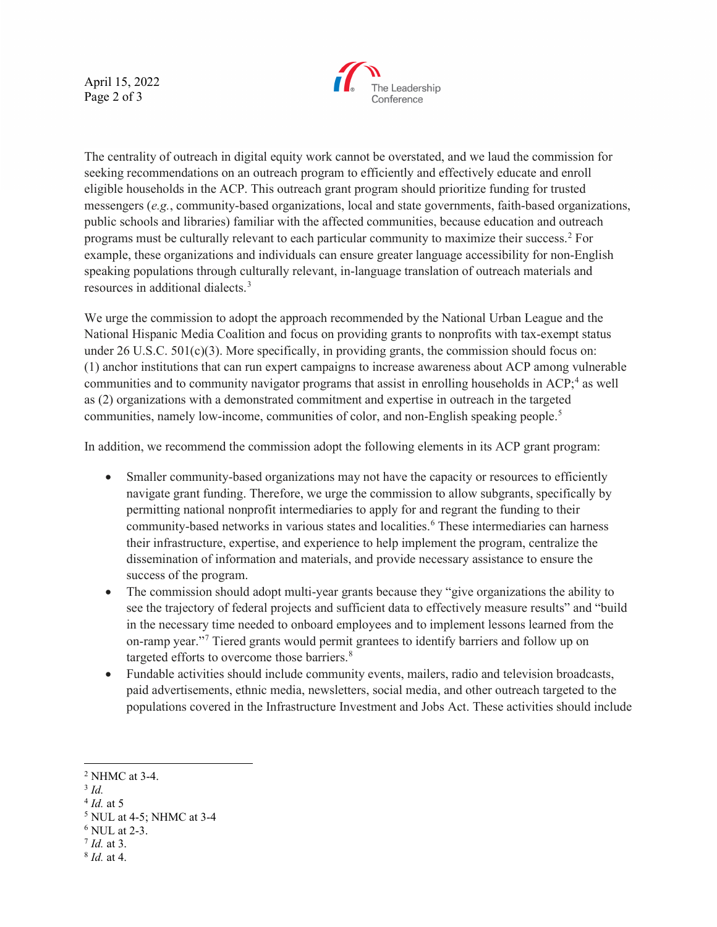April 15, 2022 Page 2 of 3



The centrality of outreach in digital equity work cannot be overstated, and we laud the commission for seeking recommendations on an outreach program to efficiently and effectively educate and enroll eligible households in the ACP. This outreach grant program should prioritize funding for trusted messengers (*e.g.*, community-based organizations, local and state governments, faith-based organizations, public schools and libraries) familiar with the affected communities, because education and outreach programs must be culturally relevant to each particular community to maximize their success.[2](#page-1-0) For example, these organizations and individuals can ensure greater language accessibility for non-English speaking populations through culturally relevant, in-language translation of outreach materials and resources in additional dialects.<sup>[3](#page-1-1)</sup>

We urge the commission to adopt the approach recommended by the National Urban League and the National Hispanic Media Coalition and focus on providing grants to nonprofits with tax-exempt status under 26 U.S.C.  $501(c)(3)$ . More specifically, in providing grants, the commission should focus on: (1) anchor institutions that can run expert campaigns to increase awareness about ACP among vulnerable communities and to community navigator programs that assist in enrolling households in ACP;<sup>[4](#page-1-2)</sup> as well as (2) organizations with a demonstrated commitment and expertise in outreach in the targeted communities, namely low-income, communities of color, and non-English speaking people.<sup>[5](#page-1-3)</sup>

In addition, we recommend the commission adopt the following elements in its ACP grant program:

- Smaller community-based organizations may not have the capacity or resources to efficiently navigate grant funding. Therefore, we urge the commission to allow subgrants, specifically by permitting national nonprofit intermediaries to apply for and regrant the funding to their community-based networks in various states and localities.<sup>[6](#page-1-4)</sup> These intermediaries can harness their infrastructure, expertise, and experience to help implement the program, centralize the dissemination of information and materials, and provide necessary assistance to ensure the success of the program.
- The commission should adopt multi-year grants because they "give organizations the ability to see the trajectory of federal projects and sufficient data to effectively measure results" and "build in the necessary time needed to onboard employees and to implement lessons learned from the on-ramp year."[7](#page-1-5) Tiered grants would permit grantees to identify barriers and follow up on targeted efforts to overcome those barriers.<sup>[8](#page-1-6)</sup>
- Fundable activities should include community events, mailers, radio and television broadcasts, paid advertisements, ethnic media, newsletters, social media, and other outreach targeted to the populations covered in the Infrastructure Investment and Jobs Act. These activities should include

- <span id="page-1-5"></span><sup>7</sup> *Id.* at 3.
- <span id="page-1-6"></span><sup>8</sup> *Id.* at 4.

<span id="page-1-0"></span><sup>2</sup> NHMC at 3-4.

<span id="page-1-1"></span><sup>3</sup> *Id.*

<span id="page-1-2"></span><sup>4</sup> *Id.* at 5

<span id="page-1-3"></span><sup>5</sup> NUL at 4-5; NHMC at 3-4

<span id="page-1-4"></span><sup>6</sup> NUL at 2-3.